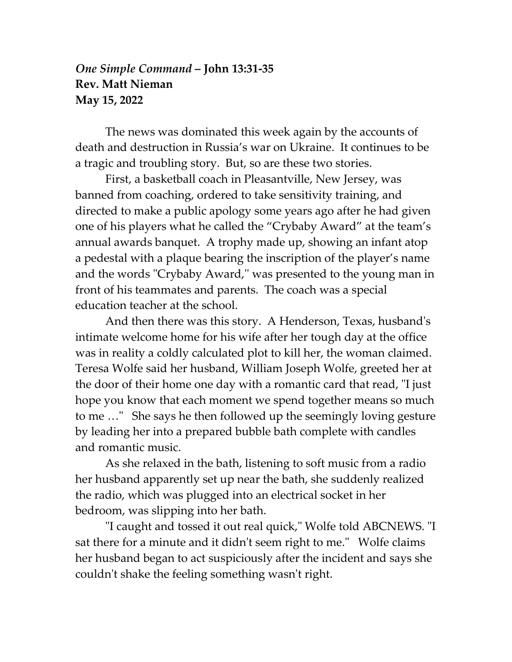## *One Simple Command* **– John 13:31-35 Rev. Matt Nieman May 15, 2022**

The news was dominated this week again by the accounts of death and destruction in Russia's war on Ukraine. It continues to be a tragic and troubling story. But, so are these two stories.

First, a basketball coach in Pleasantville, New Jersey, was banned from coaching, ordered to take sensitivity training, and directed to make a public apology some years ago after he had given one of his players what he called the "Crybaby Award" at the team's annual awards banquet. A trophy made up, showing an infant atop a pedestal with a plaque bearing the inscription of the player's name and the words "Crybaby Award,'' was presented to the young man in front of his teammates and parents. The coach was a special education teacher at the school.

And then there was this story. A Henderson, Texas, husband's intimate welcome home for his wife after her tough day at the office was in reality a coldly calculated plot to kill her, the woman claimed. Teresa Wolfe said her husband, William Joseph Wolfe, greeted her at the door of their home one day with a romantic card that read, "I just hope you know that each moment we spend together means so much to me …" She says he then followed up the seemingly loving gesture by leading her into a prepared bubble bath complete with candles and romantic music.

As she relaxed in the bath, listening to soft music from a radio her husband apparently set up near the bath, she suddenly realized the radio, which was plugged into an electrical socket in her bedroom, was slipping into her bath.

"I caught and tossed it out real quick," Wolfe told ABCNEWS. "I sat there for a minute and it didn't seem right to me." Wolfe claims her husband began to act suspiciously after the incident and says she couldn't shake the feeling something wasn't right.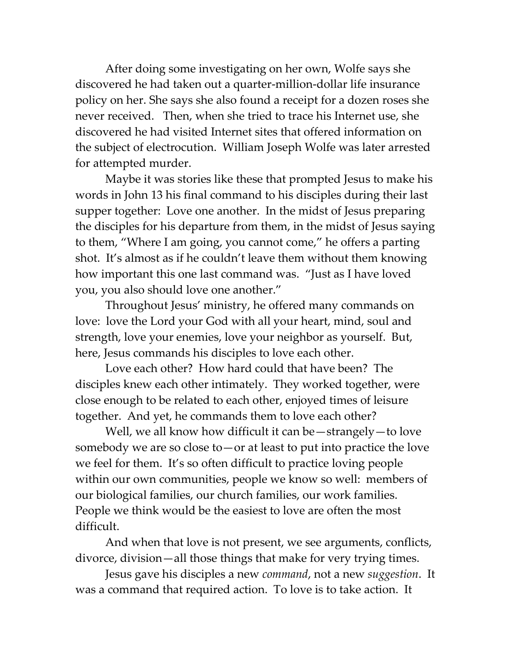After doing some investigating on her own, Wolfe says she discovered he had taken out a quarter-million-dollar life insurance policy on her. She says she also found a receipt for a dozen roses she never received. Then, when she tried to trace his Internet use, she discovered he had visited Internet sites that offered information on the subject of electrocution. William Joseph Wolfe was later arrested for attempted murder.

Maybe it was stories like these that prompted Jesus to make his words in John 13 his final command to his disciples during their last supper together: Love one another. In the midst of Jesus preparing the disciples for his departure from them, in the midst of Jesus saying to them, "Where I am going, you cannot come," he offers a parting shot. It's almost as if he couldn't leave them without them knowing how important this one last command was. "Just as I have loved you, you also should love one another."

Throughout Jesus' ministry, he offered many commands on love: love the Lord your God with all your heart, mind, soul and strength, love your enemies, love your neighbor as yourself. But, here, Jesus commands his disciples to love each other.

Love each other? How hard could that have been? The disciples knew each other intimately. They worked together, were close enough to be related to each other, enjoyed times of leisure together. And yet, he commands them to love each other?

Well, we all know how difficult it can be — strangely — to love somebody we are so close to—or at least to put into practice the love we feel for them. It's so often difficult to practice loving people within our own communities, people we know so well: members of our biological families, our church families, our work families. People we think would be the easiest to love are often the most difficult.

And when that love is not present, we see arguments, conflicts, divorce, division—all those things that make for very trying times.

Jesus gave his disciples a new *command*, not a new *suggestion*. It was a command that required action. To love is to take action. It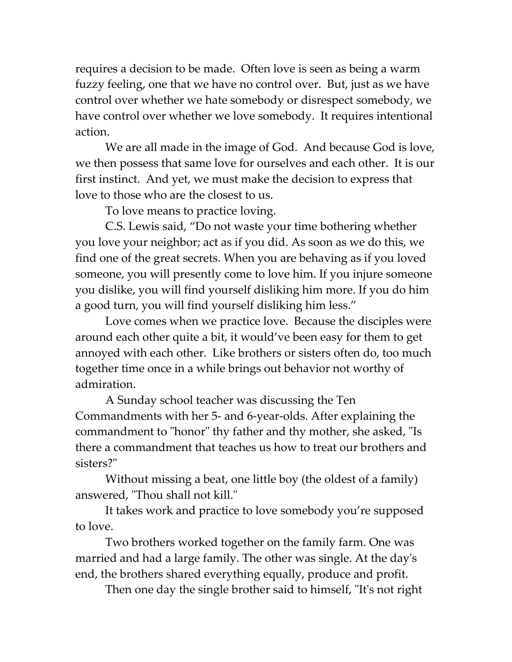requires a decision to be made. Often love is seen as being a warm fuzzy feeling, one that we have no control over. But, just as we have control over whether we hate somebody or disrespect somebody, we have control over whether we love somebody. It requires intentional action.

We are all made in the image of God. And because God is love, we then possess that same love for ourselves and each other. It is our first instinct. And yet, we must make the decision to express that love to those who are the closest to us.

To love means to practice loving.

C.S. Lewis said, "Do not waste your time bothering whether you love your neighbor; act as if you did. As soon as we do this, we find one of the great secrets. When you are behaving as if you loved someone, you will presently come to love him. If you injure someone you dislike, you will find yourself disliking him more. If you do him a good turn, you will find yourself disliking him less."

Love comes when we practice love. Because the disciples were around each other quite a bit, it would've been easy for them to get annoyed with each other. Like brothers or sisters often do, too much together time once in a while brings out behavior not worthy of admiration.

A Sunday school teacher was discussing the Ten Commandments with her 5- and 6-year-olds. After explaining the commandment to "honor" thy father and thy mother, she asked, "Is there a commandment that teaches us how to treat our brothers and sisters?"

Without missing a beat, one little boy (the oldest of a family) answered, "Thou shall not kill."

It takes work and practice to love somebody you're supposed to love.

Two brothers worked together on the family farm. One was married and had a large family. The other was single. At the day's end, the brothers shared everything equally, produce and profit.

Then one day the single brother said to himself, "It's not right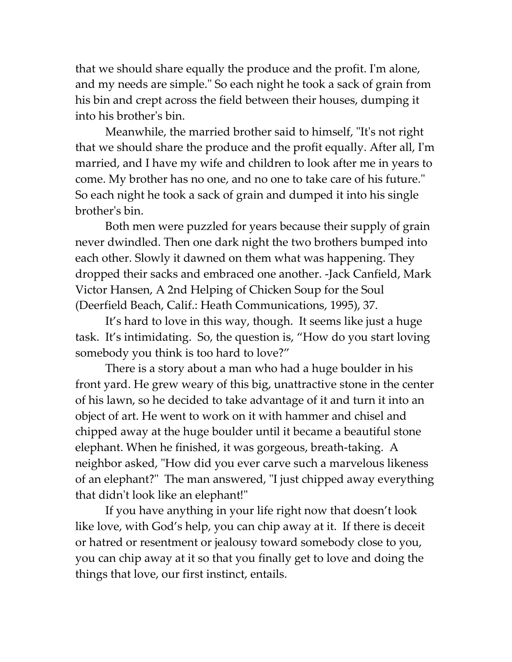that we should share equally the produce and the profit. I'm alone, and my needs are simple." So each night he took a sack of grain from his bin and crept across the field between their houses, dumping it into his brother's bin.

Meanwhile, the married brother said to himself, "It's not right that we should share the produce and the profit equally. After all, I'm married, and I have my wife and children to look after me in years to come. My brother has no one, and no one to take care of his future." So each night he took a sack of grain and dumped it into his single brother's bin.

Both men were puzzled for years because their supply of grain never dwindled. Then one dark night the two brothers bumped into each other. Slowly it dawned on them what was happening. They dropped their sacks and embraced one another. -Jack Canfield, Mark Victor Hansen, A 2nd Helping of Chicken Soup for the Soul (Deerfield Beach, Calif.: Heath Communications, 1995), 37.

It's hard to love in this way, though. It seems like just a huge task. It's intimidating. So, the question is, "How do you start loving somebody you think is too hard to love?"

There is a story about a man who had a huge boulder in his front yard. He grew weary of this big, unattractive stone in the center of his lawn, so he decided to take advantage of it and turn it into an object of art. He went to work on it with hammer and chisel and chipped away at the huge boulder until it became a beautiful stone elephant. When he finished, it was gorgeous, breath-taking. A neighbor asked, "How did you ever carve such a marvelous likeness of an elephant?" The man answered, "I just chipped away everything that didn't look like an elephant!"

If you have anything in your life right now that doesn't look like love, with God's help, you can chip away at it. If there is deceit or hatred or resentment or jealousy toward somebody close to you, you can chip away at it so that you finally get to love and doing the things that love, our first instinct, entails.